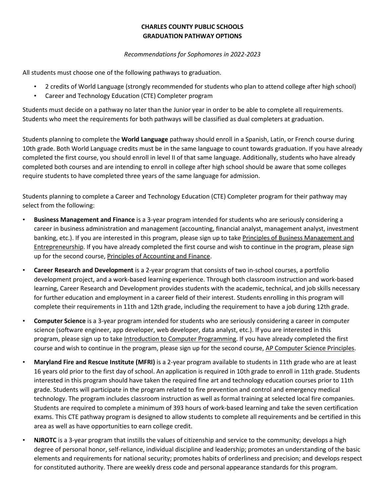## **CHARLES COUNTY PUBLIC SCHOOLS GRADUATION PATHWAY OPTIONS**

## *Recommendations for Sophomores in 2022-2023*

All students must choose one of the following pathways to graduation.

- 2 credits of World Language (strongly recommended for students who plan to attend college after high school)
- Career and Technology Education (CTE) Completer program

Students must decide on a pathway no later than the Junior year in order to be able to complete all requirements. Students who meet the requirements for both pathways will be classified as dual completers at graduation.

Students planning to complete the **World Language** pathway should enroll in a Spanish, Latin, or French course during 10th grade. Both World Language credits must be in the same language to count towards graduation. If you have already completed the first course, you should enroll in level II of that same language. Additionally, students who have already completed both courses and are intending to enroll in college after high school should be aware that some colleges require students to have completed three years of the same language for admission.

Students planning to complete a Career and Technology Education (CTE) Completer program for their pathway may select from the following:

- **Business Management and Finance** is a 3-year program intended for students who are seriously considering a career in business administration and management (accounting, financial analyst, management analyst, investment banking, etc.). If you are interested in this program, please sign up to take Principles of Business Management and Entrepreneurship. If you have already completed the first course and wish to continue in the program, please sign up for the second course, Principles of Accounting and Finance.
- **Career Research and Development** is a 2-year program that consists of two in-school courses, a portfolio development project, and a work-based learning experience. Through both classroom instruction and work-based learning, Career Research and Development provides students with the academic, technical, and job skills necessary for further education and employment in a career field of their interest. Students enrolling in this program will complete their requirements in 11th and 12th grade, including the requirement to have a job during 12th grade.
- **Computer Science** is a 3-year program intended for students who are seriously considering a career in computer science (software engineer, app developer, web developer, data analyst, etc.). If you are interested in this program, please sign up to take Introduction to Computer Programming. If you have already completed the first course and wish to continue in the program, please sign up for the second course, AP Computer Science Principles.
- **Maryland Fire and Rescue Institute (MFRI)** is a 2-year program available to students in 11th grade who are at least 16 years old prior to the first day of school. An application is required in 10th grade to enroll in 11th grade. Students interested in this program should have taken the required fine art and technology education courses prior to 11th grade. Students will participate in the program related to fire prevention and control and emergency medical technology. The program includes classroom instruction as well as formal training at selected local fire companies. Students are required to complete a minimum of 393 hours of work-based learning and take the seven certification exams. This CTE pathway program is designed to allow students to complete all requirements and be certified in this area as well as have opportunities to earn college credit.
	- **NJROTC** is a 3-year program that instills the values of citizenship and service to the community; develops a high degree of personal honor, self-reliance, individual discipline and leadership; promotes an understanding of the basic elements and requirements for national security; promotes habits of orderliness and precision; and develops respect for constituted authority. There are weekly dress code and personal appearance standards for this program.